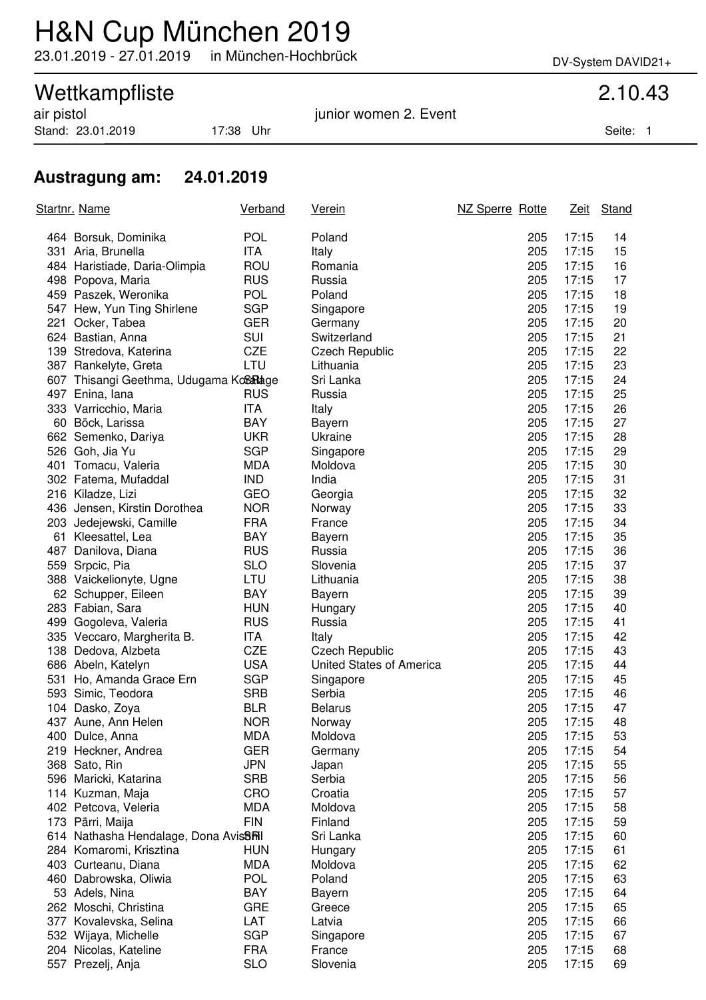## H&N Cup München 2019

23.01.2019 - 27.01.2019 in München-Hochbrück DV-System DAVID21+

# Wettkampfliste<br>
air pistol 2.10.43<br>
junior women 2. Event

Stand: 23.01.2019 17:38 Uhr Seite: 1

junior women 2. Event

### **Austragung am: 24.01.2019**

| <u>Startnr. Name</u>                               | <b>Verband</b> | <u>Verein</u>            | NZ Sperre Rotte |            | <u>Zeit</u>    | Stand |
|----------------------------------------------------|----------------|--------------------------|-----------------|------------|----------------|-------|
| 464 Borsuk, Dominika                               | <b>POL</b>     | Poland                   |                 | 205        | 17:15          | 14    |
| 331 Aria, Brunella                                 | <b>ITA</b>     | Italy                    |                 | 205        | 17:15          | 15    |
| 484 Haristiade, Daria-Olimpia                      | <b>ROU</b>     | Romania                  |                 | 205        | 17:15          | 16    |
| 498 Popova, Maria                                  | <b>RUS</b>     | Russia                   |                 | 205        | 17:15          | 17    |
| 459 Paszek, Weronika                               | <b>POL</b>     | Poland                   |                 | 205        | 17:15          | 18    |
| 547 Hew, Yun Ting Shirlene                         | <b>SGP</b>     | Singapore                |                 | 205        | 17:15          | 19    |
| 221 Ocker, Tabea                                   | <b>GER</b>     | Germany                  |                 | 205        | 17:15          | 20    |
| 624 Bastian, Anna                                  | <b>SUI</b>     | Switzerland              |                 | 205        | 17:15          | 21    |
| 139 Stredova, Katerina                             | <b>CZE</b>     | <b>Czech Republic</b>    |                 | 205        | 17:15          | 22    |
| 387 Rankelyte, Greta                               | LTU            | Lithuania                |                 | 205        | 17:15          | 23    |
| 607 Thisangi Geethma, Udugama KoSaRage             |                | Sri Lanka                |                 | 205        | 17:15          | 24    |
| 497 Enina, lana                                    | <b>RUS</b>     | Russia                   |                 | 205        | 17:15          | 25    |
| 333 Varricchio, Maria                              | ITA            | Italy                    |                 | 205        | 17:15          | 26    |
| 60 Böck, Larissa                                   | <b>BAY</b>     | Bayern                   |                 | 205        | 17:15          | 27    |
| 662 Semenko, Dariya                                | <b>UKR</b>     | Ukraine                  |                 | 205        | 17:15          | 28    |
| 526 Goh, Jia Yu                                    | <b>SGP</b>     | Singapore                |                 | 205        | 17:15          | 29    |
| 401 Tomacu, Valeria                                | <b>MDA</b>     | Moldova                  |                 | 205        | 17:15          | 30    |
| 302 Fatema, Mufaddal                               | <b>IND</b>     | India                    |                 | 205        | 17:15          | 31    |
| 216 Kiladze, Lizi                                  | GEO            | Georgia                  |                 | 205        | 17:15          | 32    |
| 436 Jensen, Kirstin Dorothea                       | <b>NOR</b>     | Norway                   |                 | 205        | 17:15          | 33    |
| 203 Jedejewski, Camille                            | <b>FRA</b>     | France                   |                 | 205        | 17:15          | 34    |
| 61 Kleesattel, Lea                                 | <b>BAY</b>     | Bayern                   |                 | 205        | 17:15          | 35    |
| 487 Danilova, Diana                                | <b>RUS</b>     | Russia                   |                 | 205        | 17:15          | 36    |
| 559 Srpcic, Pia                                    | <b>SLO</b>     | Slovenia                 |                 | 205        | 17:15          | 37    |
| 388 Vaickelionyte, Ugne                            | LTU            | Lithuania                |                 | 205        | 17:15          | 38    |
| 62 Schupper, Eileen                                | <b>BAY</b>     | <b>Bayern</b>            |                 | 205        | 17:15          | 39    |
| 283 Fabian, Sara                                   | <b>HUN</b>     | Hungary                  |                 | 205        | 17:15          | 40    |
| 499 Gogoleva, Valeria                              | <b>RUS</b>     | Russia                   |                 | 205        | 17:15          | 41    |
| 335 Veccaro, Margherita B.                         | ITA            | Italy                    |                 | 205        | 17:15          | 42    |
| 138 Dedova, Alzbeta                                | <b>CZE</b>     | <b>Czech Republic</b>    |                 | 205        | 17:15          | 43    |
| 686 Abeln, Katelyn                                 | <b>USA</b>     | United States of America |                 | 205        | 17:15          | 44    |
| 531 Ho, Amanda Grace Ern                           | <b>SGP</b>     |                          |                 | 205        | 17:15          | 45    |
| 593 Simic, Teodora                                 | <b>SRB</b>     | Singapore<br>Serbia      |                 | 205        | 17:15          | 46    |
|                                                    | <b>BLR</b>     | <b>Belarus</b>           |                 | 205        | 17:15          | 47    |
| 104 Dasko, Zoya<br>437 Aune, Ann Helen             | <b>NOR</b>     |                          |                 | 205        | 17:15          | 48    |
|                                                    | MDA            | Norway<br>Moldova        |                 | 205        | 17:15          | 53    |
| 400 Dulce, Anna<br>219 Heckner, Andrea             | <b>GER</b>     |                          |                 | 205        | 17:15          | 54    |
|                                                    |                | Germany                  |                 |            |                |       |
| 368 Sato, Rin                                      | <b>JPN</b>     | Japan                    |                 | 205<br>205 | 17:15<br>17:15 | 55    |
| 596 Maricki, Katarina                              | <b>SRB</b>     | Serbia                   |                 |            |                | 56    |
| 114 Kuzman, Maja                                   | <b>CRO</b>     | Croatia                  |                 | 205        | 17:15          | 57    |
| 402 Petcova, Veleria                               | <b>MDA</b>     | Moldova                  |                 | 205        | 17:15          | 58    |
| 173 Pärri, Maija                                   | <b>FIN</b>     | Finland                  |                 | 205        | 17:15          | 59    |
| 614 Nathasha Hendalage, Dona Avis <sup>8</sup> Ril |                | Sri Lanka                |                 | 205        | 17:15          | 60    |
| 284 Komaromi, Krisztina                            | <b>HUN</b>     | Hungary                  |                 | 205        | 17:15          | 61    |
| 403 Curteanu, Diana                                | <b>MDA</b>     | Moldova                  |                 | 205        | 17:15          | 62    |
| 460 Dabrowska, Oliwia                              | <b>POL</b>     | Poland                   |                 | 205        | 17:15          | 63    |
| 53 Adels, Nina                                     | BAY            | <b>Bayern</b>            |                 | 205        | 17:15          | 64    |
| 262 Moschi, Christina                              | <b>GRE</b>     | Greece                   |                 | 205        | 17:15          | 65    |
| 377 Kovalevska, Selina                             | LAT            | Latvia                   |                 | 205        | 17:15          | 66    |
| 532 Wijaya, Michelle                               | <b>SGP</b>     | Singapore                |                 | 205        | 17:15          | 67    |
| 204 Nicolas, Kateline                              | <b>FRA</b>     | France                   |                 | 205        | 17:15          | 68    |
| 557 Prezelj, Anja                                  | <b>SLO</b>     | Slovenia                 |                 | 205        | 17:15          | 69    |